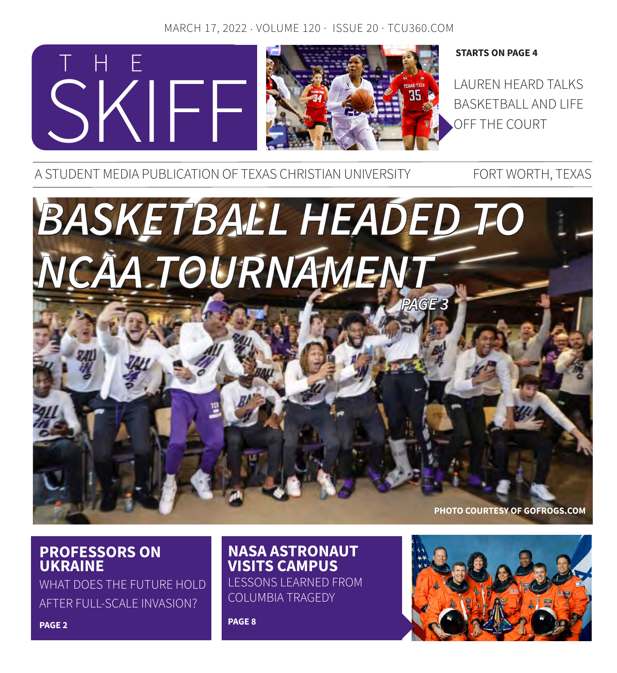### MARCH 17, 2022 · VOLUME 120 · ISSUE 20 · TCU360.COM



#### **STARTS ON PAGE 4**

BASKETBALL AND LIFE OFF THE COURT

A STUDENT MEDIA PUBLICATION OF TEXAS CHRISTIAN UNIVERSITY FORT WORTH, TEXAS



### **PROFESSORS ON UKRAINE**

WHAT DOES THE FUTURE HOLD AFTER FULL-SCALE INVASION?

# **NASA ASTRONAUT VISITS CAMPUS**

LESSONS LEARNED FROM COLUMBIA TRAGEDY

**PAGE 8**



**PAGE 2**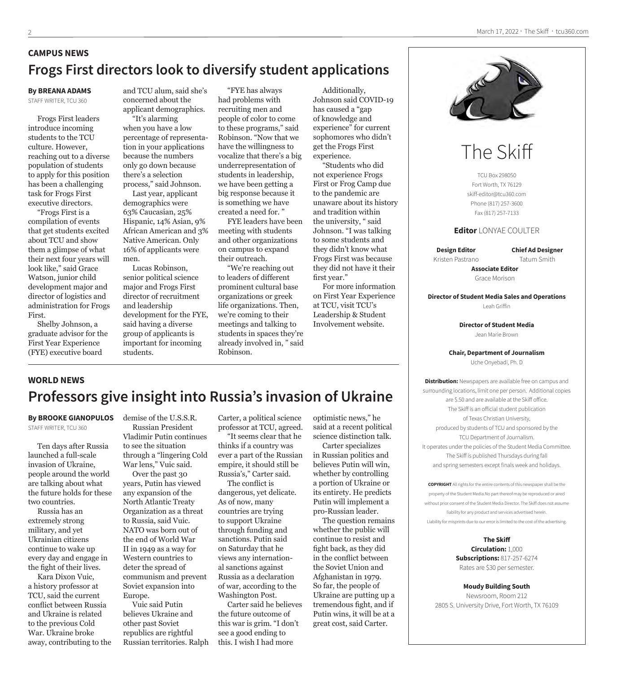### **CAMPUS NEWS Frogs First directors look to diversify student applications**

#### **By BREANA ADAMS**

STAFF WRITER, TCU 360

Frogs First leaders introduce incoming students to the TCU culture. However, reaching out to a diverse population of students to apply for this position has been a challenging task for Frogs First executive directors.

"Frogs First is a compilation of events that get students excited about TCU and show them a glimpse of what their next four years will look like," said Grace Watson, junior child development major and director of logistics and administration for Frogs First.

Shelby Johnson, a graduate advisor for the First Year Experience (FYE) executive board

and TCU alum, said she's concerned about the applicant demographics.

"It's alarming when you have a low percentage of representation in your applications because the numbers only go down because there's a selection process," said Johnson.

Last year, applicant demographics were 63% Caucasian, 25% Hispanic, 14% Asian, 9% African American and 3% Native American. Only 16% of applicants were men.

Lucas Robinson, senior political science major and Frogs First director of recruitment and leadership development for the FYE, said having a diverse group of applicants is important for incoming students.

"FYE has always had problems with recruiting men and people of color to come to these programs," said Robinson. "Now that we have the willingness to vocalize that there's a big underrepresentation of students in leadership, we have been getting a big response because it is something we have created a need for. "

FYE leaders have been meeting with students and other organizations on campus to expand their outreach.

"We're reaching out to leaders of different prominent cultural base organizations or greek life organizations. Then, we're coming to their meetings and talking to students in spaces they're already involved in, " said Robinson.

Additionally, Johnson said COVID-19 has caused a "gap of knowledge and experience" for current sophomores who didn't get the Frogs First experience.

"Students who did not experience Frogs First or Frog Camp due to the pandemic are unaware about its history and tradition within the university, " said Johnson. "I was talking to some students and they didn't know what Frogs First was because they did not have it their first year."

For more information on First Year Experience at TCU, visit TCU's Leadership & Student Involvement website.



# The Skiff

TCU Box 298050 Fort Worth, TX 76129 skiff-editor@tcu360.com Phone (817) 257-3600 Fax (817) 257-7133

#### **Editor** LONYAE COULTER

**Design Editor** Kristen Pastrano **Chief Ad Designer** Tatum Smith

**Associate Editor** Grace Morison

**Director of Student Media Sales and Operations** Leah Griffin

> **Director of Student Media** Jean Marie Brown

#### **Chair, Department of Journalism**

Uche Onyebadi, Ph. D

**Distribution:** Newspapers are available free on campus and surrounding locations, limit one per person. Additional copies are \$.50 and are available at the Skiff office. The Skiff is an official student publication of Texas Christian University, produced by students of TCU and sponsored by the TCU Department of Journalism. It operates under the policies of the Student Media Committee. The Skiff is published Thursdays during fall and spring semesters except finals week and holidays.

**COPYRIGHT** All rights for the entire contents of this newspaper shall be the property of the Student Media.No part thereof may be reproduced or aired without prior consent of the Student Media Director. The Skiff does not assume liability for any product and services advertised herein. Liability for misprints due to our error is limited to the cost of the advertising.

> **The Skiff Circulation:** 1,000 **Subscriptions:** 817-257-6274 Rates are \$30 per semester.

**Moudy Building South** Newsroom, Room 212 2805 S. University Drive, Fort Worth, TX 76109

### **WORLD NEWS**

### **Professors give insight into Russia's invasion of Ukraine**

#### **By BROOKE GIANOPULOS**  STAFF WRITER, TCU 360

Ten days after Russia launched a full-scale invasion of Ukraine, people around the world are talking about what the future holds for these two countries.

Russia has an extremely strong military, and yet Ukrainian citizens continue to wake up every day and engage in the fight of their lives.

Kara Dixon Vuic, a history professor at TCU, said the current conflict between Russia and Ukraine is related to the previous Cold War. Ukraine broke away, contributing to the demise of the U.S.S.R. Russian President Vladimir Putin continues to see the situation through a "lingering Cold

War lens," Vuic said. Over the past 30 years, Putin has viewed any expansion of the North Atlantic Treaty Organization as a threat to Russia, said Vuic. NATO was born out of the end of World War II in 1949 as a way for Western countries to deter the spread of communism and prevent Soviet expansion into Europe.

Vuic said Putin believes Ukraine and other past Soviet republics are rightful Russian territories. Ralph Carter, a political science professor at TCU, agreed. "It seems clear that he

thinks if a country was ever a part of the Russian empire, it should still be Russia's," Carter said.

The conflict is dangerous, yet delicate. As of now, many countries are trying to support Ukraine through funding and sanctions. Putin said on Saturday that he views any international sanctions against Russia as a declaration of war, according to the Washington Post.

Carter said he believes the future outcome of this war is grim. "I don't see a good ending to this. I wish I had more

optimistic news," he said at a recent political science distinction talk. Carter specializes

in Russian politics and believes Putin will win, whether by controlling a portion of Ukraine or its entirety. He predicts Putin will implement a pro-Russian leader.

The question remains whether the public will continue to resist and fight back, as they did in the conflict between the Soviet Union and Afghanistan in 1979. So far, the people of Ukraine are putting up a tremendous fight, and if Putin wins, it will be at a great cost, said Carter.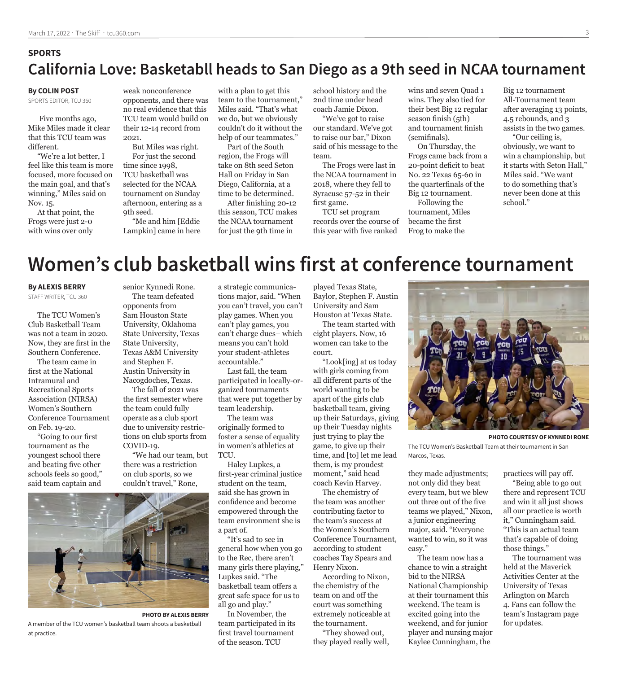### **SPORTS California Love: Basketabll heads to San Diego as a 9th seed in NCAA tournament**

#### **By COLIN POST**

SPORTS EDITOR, TCU 360

 Five months ago, Mike Miles made it clear that this TCU team was different.

"We're a lot better, I feel like this team is more focused, more focused on the main goal, and that's winning," Miles said on Nov. 15.

At that point, the Frogs were just 2-0 with wins over only

weak nonconference opponents, and there was no real evidence that this TCU team would build on their 12-14 record from 2021.

But Miles was right. For just the second time since 1998, TCU basketball was selected for the NCAA tournament on Sunday afternoon, entering as a 9th seed.

"Me and him [Eddie Lampkin] came in here

with a plan to get this team to the tournament," Miles said. "That's what we do, but we obviously couldn't do it without the help of our teammates."

Part of the South region, the Frogs will take on 8th seed Seton Hall on Friday in San Diego, California, at a time to be determined.

After finishing 20-12 this season, TCU makes the NCAA tournament for just the 9th time in

school history and the 2nd time under head coach Jamie Dixon.

"We've got to raise our standard. We've got to raise our bar," Dixon said of his message to the team.

The Frogs were last in the NCAA tournament in 2018, where they fell to Syracuse 57-52 in their first game.

TCU set program records over the course of this year with five ranked

wins and seven Quad 1 wins. They also tied for their best Big 12 regular season finish (5th) and tournament finish (semifinals).

On Thursday, the Frogs came back from a 20-point deficit to beat No. 22 Texas 65-60 in the quarterfinals of the Big 12 tournament.

Following the tournament, Miles became the first Frog to make the

Big 12 tournament All-Tournament team after averaging 13 points, 4.5 rebounds, and 3 assists in the two games.

"Our ceiling is, obviously, we want to win a championship, but it starts with Seton Hall," Miles said. "We want to do something that's never been done at this school."

# **Women's club basketball wins first at conference tournament**

#### **By ALEXIS BERRY**

STAFF WRITER, TCU 360

The TCU Women's Club Basketball Team was not a team in 2020. Now, they are first in the Southern Conference.

The team came in first at the National Intramural and Recreational Sports Association (NIRSA) Women's Southern Conference Tournament on Feb. 19-20.

"Going to our first tournament as the youngest school there and beating five other schools feels so good," said team captain and



**PHOTO BY ALEXIS BERRY**

A member of the TCU women's basketball team shoots a basketball at practice.

senior Kynnedi Rone. The team defeated opponents from Sam Houston State University, Oklahoma State University, Texas State University, Texas A&M University and Stephen F. Austin University in Nacogdoches, Texas.

The fall of 2021 was the first semester where the team could fully operate as a club sport due to university restrictions on club sports from COVID-19.

"We had our team, but there was a restriction on club sports, so we couldn't travel," Rone,

a strategic communications major, said. "When you can't travel, you can't play games. When you can't play games, you can't charge dues– which means you can't hold your student-athletes accountable."

Last fall, the team participated in locally-organized tournaments that were put together by team leadership.

The team was originally formed to foster a sense of equality in women's athletics at TCU.

Haley Lupkes, a first-year criminal justice student on the team, said she has grown in confidence and become empowered through the team environment she is a part of.

"It's sad to see in general how when you go to the Rec, there aren't many girls there playing," Lupkes said. "The basketball team offers a great safe space for us to all go and play."

In November, the team participated in its first travel tournament of the season. TCU

played Texas State, Baylor, Stephen F. Austin University and Sam Houston at Texas State.

The team started with eight players. Now, 16 women can take to the court.

"Look[ing] at us today with girls coming from all different parts of the world wanting to be apart of the girls club basketball team, giving up their Saturdays, giving up their Tuesday nights just trying to play the game, to give up their time, and [to] let me lead them, is my proudest moment," said head

coach Kevin Harvey. The chemistry of

the team was another contributing factor to the team's success at the Women's Southern Conference Tournament, according to student coaches Tay Spears and Henry Nixon.

According to Nixon, the chemistry of the team on and off the court was something extremely noticeable at the tournament.

"They showed out, they played really well,



**PHOTO COURTESY OF KYNNEDI RONE**

The TCU Women's Basketball Team at their tournament in San Marcos, Texas.

they made adjustments; not only did they beat every team, but we blew out three out of the five teams we played," Nixon, a junior engineering major, said. "Everyone wanted to win, so it was easy."

The team now has a chance to win a straight bid to the NIRSA National Championship at their tournament this weekend. The team is excited going into the weekend, and for junior player and nursing major Kaylee Cunningham, the

practices will pay off.

"Being able to go out there and represent TCU and win it all just shows all our practice is worth it," Cunningham said. "This is an actual team that's capable of doing those things."

The tournament was held at the Maverick Activities Center at the University of Texas Arlington on March 4. Fans can follow the team's Instagram page for updates.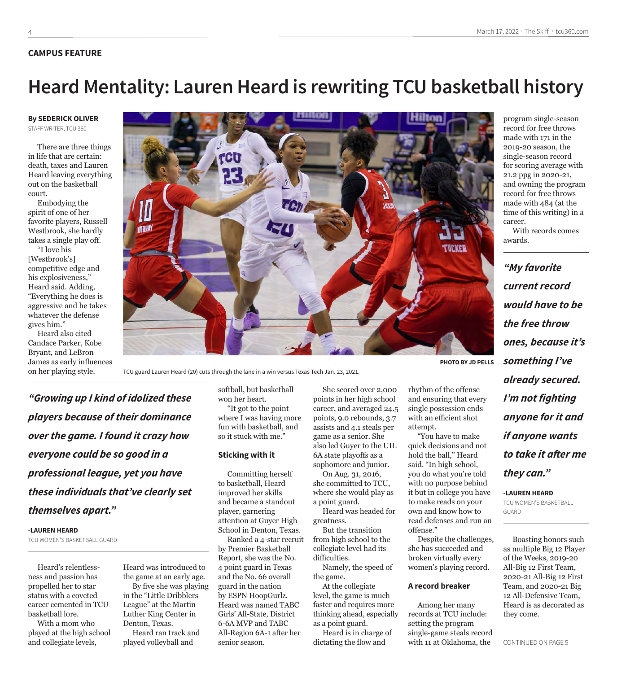#### **CAMPUS FEATURE**

# **Heard Mentality: Lauren Heard is rewriting TCU basketball history**

#### **By SEDERICK OLIVER** STAFF WRITER, TCU 360

There are three things in life that are certain: death, taxes and Lauren Heard leaving everything out on the basketball court.

Embodying the spirit of one of her favorite players, Russell Westbrook, she hardly takes a single play off.

"I love his [Westbrook's] competitive edge and his explosiveness," Heard said. Adding, "Everything he does is aggressive and he takes whatever the defense gives him."

Heard also cited Candace Parker, Kobe Bryant, and LeBron James as early influences on her playing style.



TCU guard Lauren Heard (20) cuts through the lane in a win versus Texas Tech Jan. 23, 2021.

*"Growing up I kind of idolized these players because of their dominance over the game. I found it crazy how everyone could be so good in a professional league, yet you have these individuals that've clearly set themselves apart."*

#### **-LAUREN HEARD**

TCU WOMEN'S BASKETBALL GUARD

Heard's relentlessness and passion has propelled her to star status with a coveted career cemented in TCU basketball lore.

With a mom who played at the high school and collegiate levels,

Heard was introduced to the game at an early age. By five she was playing

in the "Little Dribblers League" at the Martin Luther King Center in Denton, Texas.

Heard ran track and played volleyball and

softball, but basketball won her heart. "It got to the point where I was having more fun with basketball, and so it stuck with me."

#### **Sticking with it**

Committing herself to basketball, Heard improved her skills and became a standout player, garnering attention at Guyer High School in Denton, Texas. Ranked a 4-star recruit by Premier Basketball Report, she was the No. 4 point guard in Texas and the No. 66 overall guard in the nation by ESPN HoopGurlz. Heard was named TABC Girls' All-State, District 6-6A MVP and TABC All-Region 6A-1 after her senior season.

She scored over 2,000 points in her high school career, and averaged 24.5 points, 9.0 rebounds, 3.7 assists and 4.1 steals per game as a senior. She also led Guyer to the UIL 6A state playoffs as a sophomore and junior.

rhythm of the offense and ensuring that every single possession ends with an efficient shot

"You have to make quick decisions and not hold the ball," Heard said. "In high school, you do what you're told with no purpose behind it but in college you have to make reads on your own and know how to read defenses and run an

Despite the challenges, she has succeeded and broken virtually every women's playing record.

**A record breaker**

Among her many records at TCU include: setting the program single-game steals record with 11 at Oklahoma, the

attempt.

offense."

On Aug. 31, 2016, she committed to TCU, where she would play as a point guard.

Heard was headed for greatness. But the transition

from high school to the collegiate level had its difficulties. Namely, the speed of the game.

At the collegiate level, the game is much faster and requires more thinking ahead, especially as a point guard.

Heard is in charge of dictating the flow and

record for free throws made with 171 in the 2019-20 season, the single-season record for scoring average with 21.2 ppg in 2020-21, and owning the program record for free throws made with 484 (at the time of this writing) in a career.

program single-season

With records comes awards.

*"My favorite current record would have to be the free throw ones, because it's something I've already secured. I'm not fighting anyone for it and if anyone wants to take it after me they can."*

**-LAUREN HEARD** TCU WOMEN'S BASKETBALL **GUARD** 

Boasting honors such as multiple Big 12 Player of the Weeks, 2019-20 All-Big 12 First Team, 2020-21 All-Big 12 First Team, and 2020-21 Big 12 All-Defensive Team, Heard is as decorated as they come.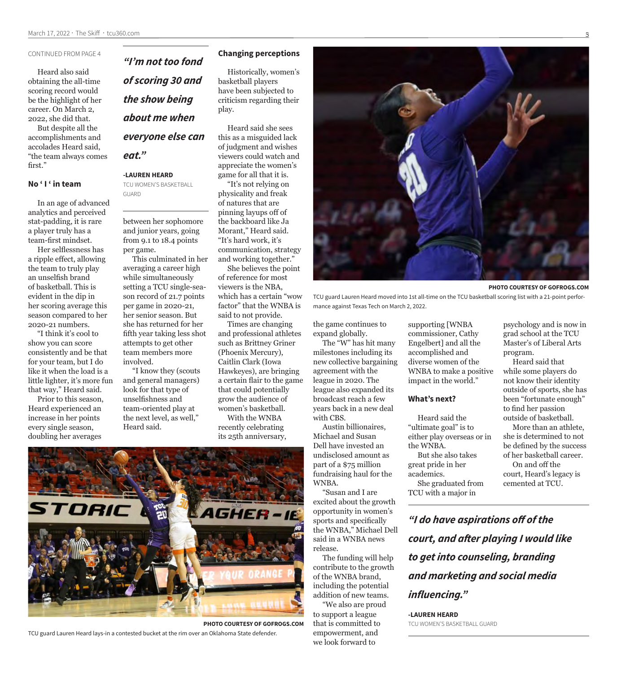#### CONTINUED FROM PAGE 4

Heard also said obtaining the all-time scoring record would be the highlight of her career. On March 2, 2022, she did that.

But despite all the accomplishments and accolades Heard said, "the team always comes first."

#### **No ' I ' in team**

In an age of advanced analytics and perceived stat-padding, it is rare a player truly has a team-first mindset.

Her selflessness has a ripple effect, allowing the team to truly play an unselfish brand of basketball. This is evident in the dip in her scoring average this season compared to her 2020-21 numbers.

"I think it's cool to show you can score consistently and be that for your team, but I do like it when the load is a little lighter, it's more fun that way," Heard said.

Prior to this season, Heard experienced an increase in her points every single season, doubling her averages

*"I'm not too fond of scoring 30 and the show being about me when everyone else can eat."*

#### **-LAUREN HEARD**

TCU WOMEN'S BASKETBALL GUARD

between her sophomore and junior years, going from 9.1 to 18.4 points per game.

This culminated in her averaging a career high while simultaneously setting a TCU single-season record of 21.7 points per game in 2020-21, her senior season. But she has returned for her fifth year taking less shot attempts to get other team members more involved.

"I know they (scouts and general managers) look for that type of unselfishness and team-oriented play at the next level, as well," Heard said.

#### **Changing perceptions**

Historically, women's basketball players have been subjected to criticism regarding their play.

Heard said she sees this as a misguided lack of judgment and wishes viewers could watch and appreciate the women's game for all that it is.

"It's not relying on physicality and freak of natures that are pinning layups off of the backboard like Ja Morant," Heard said. "It's hard work, it's communication, strategy and working together."

She believes the point of reference for most viewers is the NBA, which has a certain "wow factor" that the WNBA is said to not provide.

Times are changing and professional athletes such as Brittney Griner (Phoenix Mercury), Caitlin Clark (Iowa Hawkeyes), are bringing a certain flair to the game that could potentially grow the audience of women's basketball.

With the WNBA recently celebrating its 25th anniversary,



**PHOTO COURTESY OF GOFROGS.COM**

TCU guard Lauren Heard lays-in a contested bucket at the rim over an Oklahoma State defender.



**PHOTO COURTESY OF GOFROGS.COM**

TCU guard Lauren Heard moved into 1st all-time on the TCU basketball scoring list with a 21-point performance against Texas Tech on March 2, 2022.

the game continues to expand globally.

The "W" has hit many milestones including its new collective bargaining agreement with the league in 2020. The league also expanded its broadcast reach a few years back in a new deal with CBS.

Austin billionaires, Michael and Susan Dell have invested an undisclosed amount as part of a \$75 million fundraising haul for the WNBA.

"Susan and I are excited about the growth opportunity in women's sports and specifically the WNBA," Michael Dell said in a WNBA news release.

The funding will help contribute to the growth of the WNBA brand, including the potential addition of new teams.

"We also are proud to support a league that is committed to empowerment, and we look forward to

supporting [WNBA commissioner, Cathy Engelbert] and all the accomplished and diverse women of the WNBA to make a positive impact in the world."

#### **What's next?**

Heard said the "ultimate goal" is to either play overseas or in the WNBA. But she also takes great pride in her

academics. She graduated from

TCU with a major in

*"I do have aspirations off of the court, and after playing I would like to get into counseling, branding and marketing and social media influencing."* 

**-LAUREN HEARD** TCU WOMEN'S BASKETBALL GUARD psychology and is now in grad school at the TCU Master's of Liberal Arts program.

Heard said that while some players do not know their identity outside of sports, she has been "fortunate enough" to find her passion outside of basketball.

More than an athlete, she is determined to not be defined by the success of her basketball career. On and off the

court, Heard's legacy is cemented at TCU.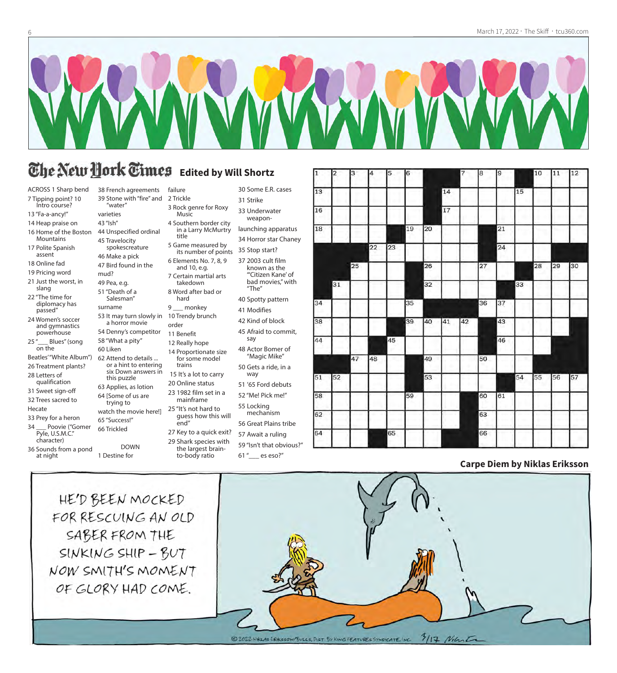

30 Some E.R. cases

31 Strike 33 Underwater weaponlaunching apparatus 34 Horror star Chaney

35 Stop start? 37 2003 cult film known as the "'Citizen Kane' of bad movies," with

"The" 40 Spotty pattern 41 Modifies 42 Kind of block 45 Afraid to commit,

say

48 Actor Bomer of "Magic Mike" 50 Gets a ride, in a way

51 '65 Ford debuts 52 "Me! Pick me!" 55 Locking mechanism 56 Great Plains tribe 57 Await a ruling

# **The New Hork Times** Edited by Will Shortz

ACROSS 1 Sharp bend 7 Tipping point? 10

- Intro course?
- 13 "Fa-a-ancy!" 14 Heap praise on
- 16 Home of the Boston
- **Mountains** 17 Polite Spanish
- assent
- 18 Online fad
- 19 Pricing word
- 21 Just the worst, in slang
- 22 "The time for diplomacy has passed"
- 24 Women's soccer and gymnastics powerhouse
- 25" Blues" (song on the Beatles' "White Album")
- 26 Treatment plants? 28 Letters of
- qualification
- 31 Sweet sign-off
- 32 Trees sacred to Hecate
- 33 Prey for a heron
- 34 \_\_\_ Poovie ("Gomer Pyle, U.S.M.C."
- character) 36 Sounds from a pond
- at night

38 French agreements 39 Stone with "fire" and "water" failure 2 Trickle 3 Rock genre for Roxy

varieties

43 "Ish" 44 Unspecified ordinal

- 45 Travelocity spokescreature
- 46 Make a pick 47 Bird found in the

54 Denny's competitor 58 "What a pity" 60 Liken

62 Attend to details ... or a hint to entering six Down answers in this puzzle 63 Applies, as lotion 64 [Some of us are trying to

DOWN

65 "Success!" 66 Trickled

1 Destine for

51 "Death of a Salesman" surname

mud? 49 Pea, e.g. 7 Certain martial arts

53 It may turn slowly in a horror movie 8 Word after bad or hard 9 \_\_\_ monkey 10 Trendy brunch

order 11 Benefit

takedown

Music

title

4 Southern border city in a Larry McMurtry

5 Game measured by its number of points 6 Elements No. 7, 8, 9 and 10, e.g.

12 Really hope 14 Proportionate size

for some model trains

- 15 It's a lot to carry 20 Online status
- 23 1982 film set in a mainframe
- watch the movie here!] 25 "It's not hard to guess how this will
	- end" 27 Key to a quick exit?
	- 29 Shark species with
		- the largest brainto-body ratio 59 "Isn't that obvious?"
			- 61 "\_\_\_ es eso?"

| 1  | 2  | 13 | 4  | 15 | Iб |    |    | 7  | ıз | 19 |    | 10 | 11 | $ 12\rangle$ |
|----|----|----|----|----|----|----|----|----|----|----|----|----|----|--------------|
| 13 |    |    |    |    |    |    | 14 |    |    |    | 15 |    |    |              |
| 16 |    |    |    |    |    |    | 17 |    |    |    |    |    |    |              |
| 18 |    |    |    |    | 19 | 20 |    |    |    | 21 |    |    |    |              |
|    |    |    | 22 | 23 |    |    |    |    |    | 24 |    |    |    |              |
|    |    | 25 |    |    |    | 26 |    |    | 27 |    |    | 28 | 29 | 30           |
|    | 31 |    |    |    |    | 32 |    |    |    |    | 33 |    |    |              |
| 34 |    |    |    |    | 35 |    |    |    | 36 | 37 |    |    |    |              |
| 38 |    |    |    |    | 39 | 40 | 41 | 42 |    | 43 |    |    |    |              |
| 44 |    |    |    | 45 |    |    |    |    |    | 46 |    |    |    |              |
|    |    | 47 | 48 |    |    | 49 |    |    | 50 |    |    |    |    |              |
| 51 | 52 |    |    |    |    | 53 |    |    |    |    | 54 | 55 | 56 | 57           |
| 58 |    |    |    |    | 59 |    |    |    | 60 | 61 |    |    |    |              |
| 62 |    |    |    |    |    |    |    |    | 63 |    |    |    |    |              |
| 64 |    |    |    | 65 |    |    |    |    | 66 |    |    |    |    |              |
|    |    |    |    |    |    |    |    |    |    |    |    |    |    |              |

#### **Carpe Diem by Niklas Eriksson**

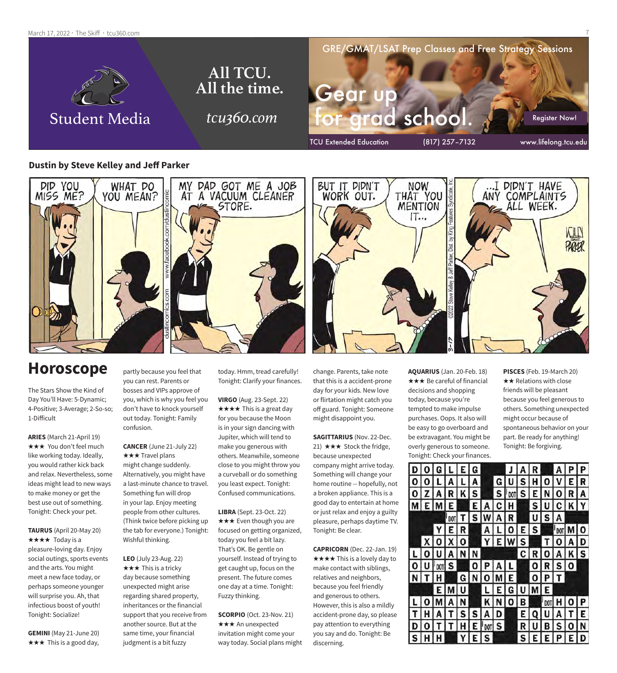March 17, 2022  $\cdot$  The Skiff  $\cdot$  tcu360.com



#### **Dustin by Steve Kelley and Jeff Parker**



### **Horoscope**

The Stars Show the Kind of Day You'll Have: 5-Dynamic; 4-Positive; 3-Average; 2-So-so; 1-Difficult

**ARIES** (March 21-April 19) **★★★** You don't feel much like working today. Ideally, you would rather kick back and relax. Nevertheless, some ideas might lead to new ways to make money or get the best use out of something. Tonight: Check your pet.

**TAURUS** (April 20-May 20) ★★★★ Today is a pleasure-loving day. Enjoy social outings, sports events and the arts. You might meet a new face today, or perhaps someone younger will surprise you. Ah, that infectious boost of youth! Tonight: Socialize!

**GEMINI** (May 21-June 20)  $\star \star \star$  This is a good day,

partly because you feel that you can rest. Parents or bosses and VIPs approve of you, which is why you feel you don't have to knock yourself out today. Tonight: Family confusion.

**CANCER** (June 21-July 22) **★★★ Travel plans** might change suddenly. Alternatively, you might have a last-minute chance to travel. Something fun will drop in your lap. Enjoy meeting people from other cultures. (Think twice before picking up the tab for everyone.) Tonight: Wishful thinking.

**LEO** (July 23-Aug. 22)  $\star \star \star$  This is a tricky day because something unexpected might arise regarding shared property, inheritances or the financial support that you receive from another source. But at the same time, your financial judgment is a bit fuzzy

today. Hmm, tread carefully! Tonight: Clarify your finances.

**VIRGO** (Aug. 23-Sept. 22)  $\star \star \star \star$  This is a great day for you because the Moon is in your sign dancing with Jupiter, which will tend to make you generous with others. Meanwhile, someone close to you might throw you a curveball or do something you least expect. Tonight: Confused communications.

**LIBRA** (Sept. 23-Oct. 22)  $\star \star \star$  Even though you are focused on getting organized, today you feel a bit lazy. That's OK. Be gentle on yourself. Instead of trying to get caught up, focus on the present. The future comes one day at a time. Tonight: Fuzzy thinking.

**SCORPIO** (Oct. 23-Nov. 21) **★★★** An unexpected invitation might come your way today. Social plans might change. Parents, take note that this is a accident-prone day for your kids. New love or flirtation might catch you off guard. Tonight: Someone might disappoint you.

**SAGITTARIUS** (Nov. 22-Dec. 21)  $\star \star \star$  Stock the fridge, because unexpected company might arrive today. Something will change your home routine -- hopefully, not a broken appliance. This is a good day to entertain at home or just relax and enjoy a guilty pleasure, perhaps daytime TV. Tonight: Be clear.

**CAPRICORN** (Dec. 22-Jan. 19)  $\star \star \star \star$  This is a lovely day to make contact with siblings, relatives and neighbors, because you feel friendly and generous to others. However, this is also a mildly accident-prone day, so please pay attention to everything you say and do. Tonight: Be discerning.

**AQUARIUS** (Jan. 20-Feb. 18)  $\star \star \star$  Be careful of financial decisions and shopping today, because you're tempted to make impulse purchases. Oops. It also will be easy to go overboard and be extravagant. You might be overly generous to someone. Tonight: Check your finances. **PISCES** (Feb. 19-March 20)  $\star\star$  Relations with close friends will be pleasant because you feel generous to others. Something unexpected might occur because of spontaneous behavior on your part. Be ready for anything! Tonight: Be forgiving.